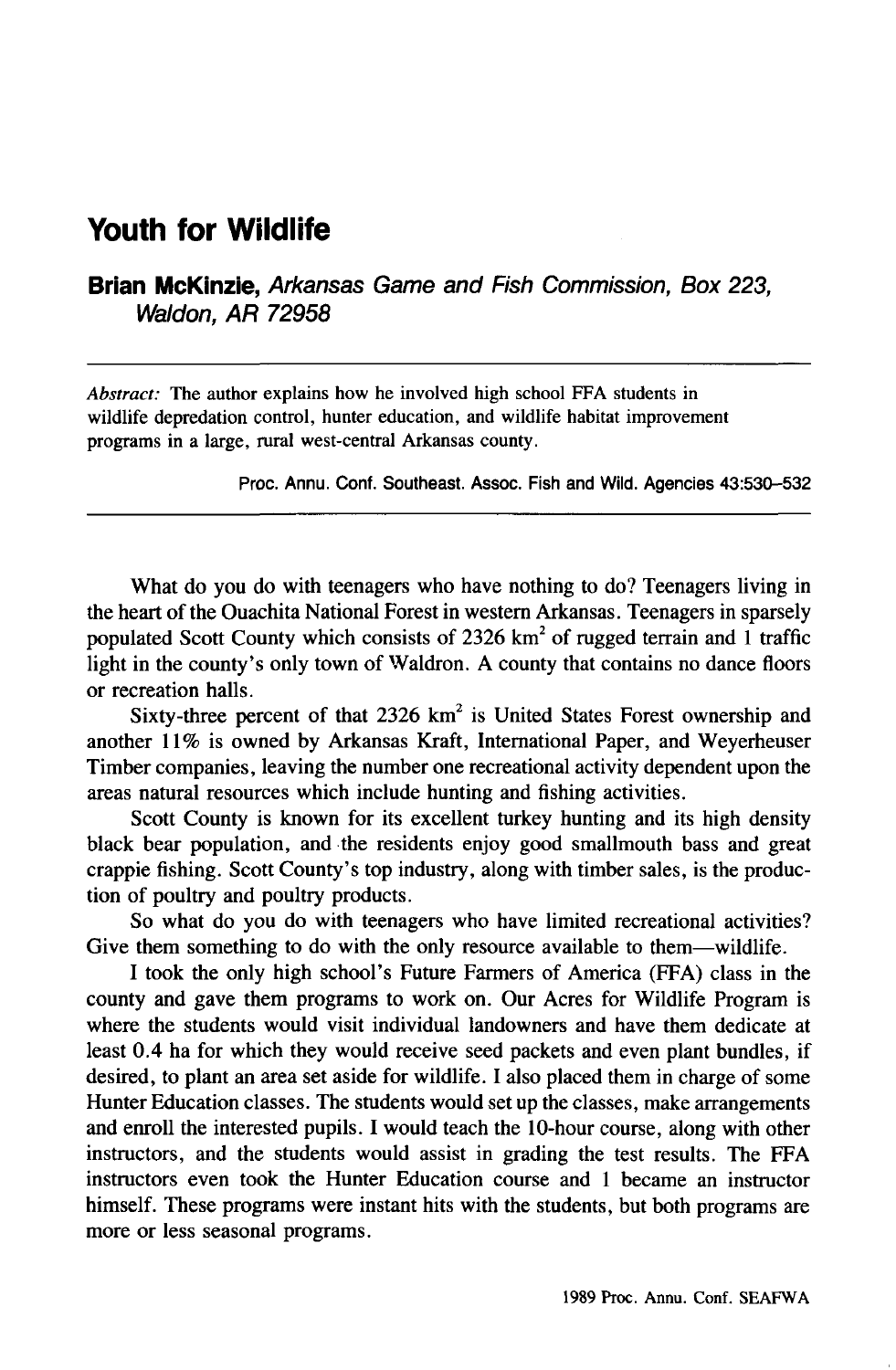## **Youth for Wildlife**

**Brian McKinzie,** Arkansas Game and Fish Commission, Box 223, Waldon, **AR** 72958

*Abstract:* The author explains how he involved high school FFA students in wildlife depredation control, hunter education, and wildlife habitat improvement programs in a large, rural west-central Arkansas county.

Proc. Annu. Cont. Southeast. Assoc. Fish and Wild. Agencies 43:530-532

What do you do with teenagers who have nothing to do? Teenagers living in the heart of the Ouachita National Forest in western Arkansas. Teenagers in sparsely populated Scott County which consists of  $2326 \text{ km}^2$  of rugged terrain and 1 traffic light in the county's only town of Waldron. A county that contains no dance floors or recreation halls.

Sixty-three percent of that  $2326 \text{ km}^2$  is United States Forest ownership and another 11% is owned by Arkansas Kraft, International Paper, and Weyerheuser Timber companies, leaving the number one recreational activity dependent upon the areas natural resources which include hunting and fishing activities.

Scott County is known for its excellent turkey hunting and its high density black bear population, and the residents enjoy good smallmouth bass and great crappie fishing. Scott County's top industry, along with timber sales, is the production of poultry and poultry products.

So what do you do with teenagers who have limited recreational activities? Give them something to do with the only resource available to them—wildlife.

I took the only high school's Future Farmers of America (FFA) class in the county and gave them programs to work on. Our Acres for Wildlife Program is where the students would visit individual landowners and have them dedicate at least 0.4 ha for which they would receive seed packets and even plant bundles, if desired, to plant an area set aside for wildlife. I also placed them in charge of some Hunter Education classes. The students would set up the classes, make arrangements and enroll the interested pupils. I would teach the lO-hour course, along with other instructors, and the students would assist in grading the test results. The FFA instructors even took the Hunter Education course and 1 became an instructor himself. These programs were instant hits with the students, but both programs are more or less seasonal programs.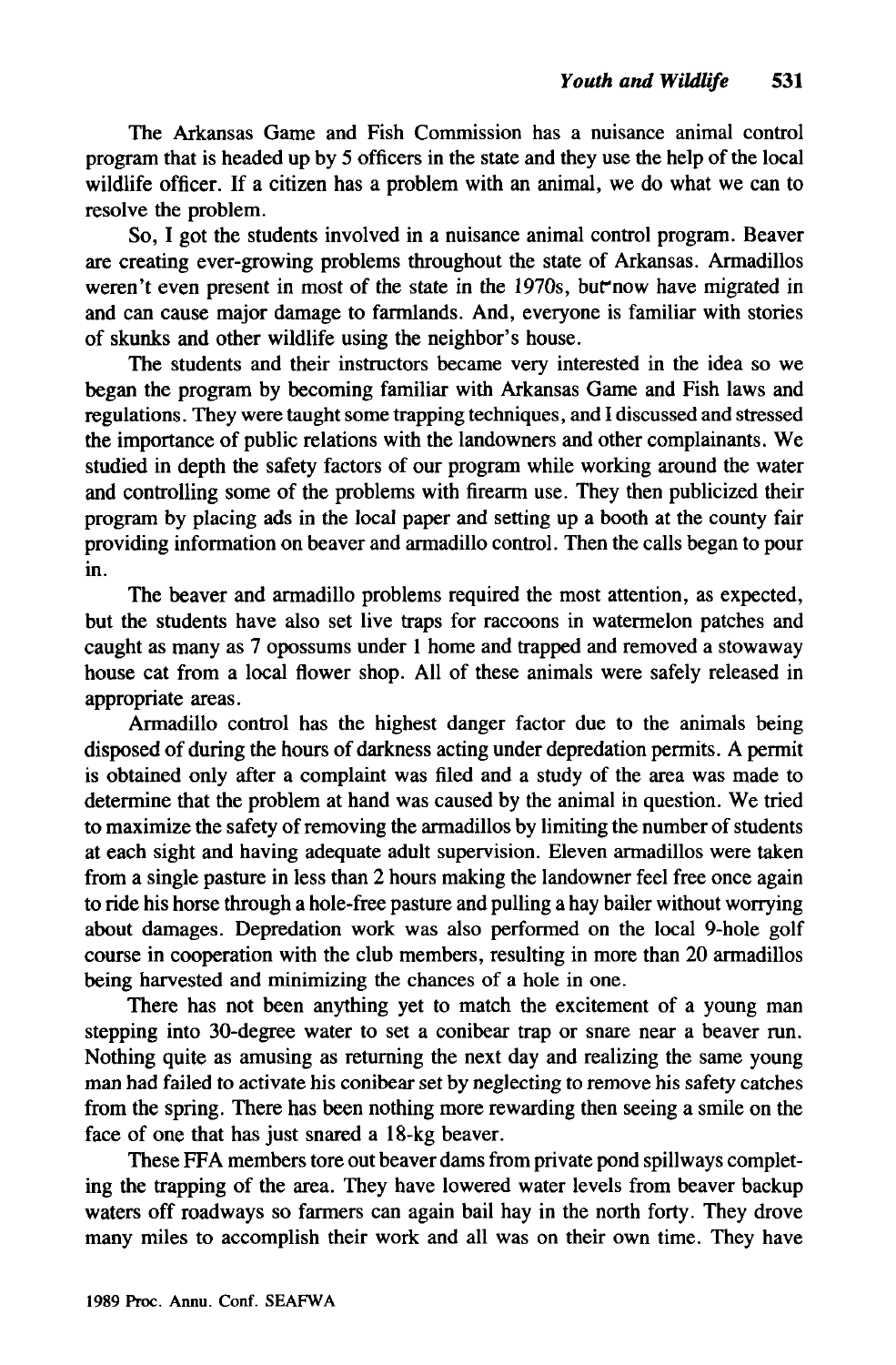The Arkansas Game and Fish Commission has a nuisance animal control program that is headed up by 5 officers in the state and they use the help of the local wildlife officer. If a citizen has a problem with an animal, we do what we can to resolve the problem.

So, I got the students involved in a nuisance animal control program. Beaver are creating ever-growing problems throughout the state of Arkansas. Armadillos weren't even present in most of the state in the 1970s, but now have migrated in and can cause major damage to farmlands. And, everyone is familiar with stories of skunks and other wildlife using the neighbor's house.

The students and their instructors became very interested in the idea so we began the program by becoming familiar with Arkansas Game and Fish laws and regulations. They were taught some trapping techniques, and I discussed and stressed the importance of public relations with the landowners and other complainants. We studied in depth the safety factors of our program while working around the water and controlling some of the problems with firearm use. They then publicized their program by placing ads in the local paper and setting up a booth at the county fair providing information on beaver and armadillo control. Then the calls began to pour in.

The beaver and armadillo problems required the most attention, as expected, but the students have also set live traps for raccoons in watermelon patches and caught as many as 7 opossums under I home and trapped and removed a stowaway house cat from a local flower shop. All of these animals were safely released in appropriate areas.

Armadillo control has the highest danger factor due to the animals being disposed of during the hours of darkness acting under depredation permits. A permit is obtained only after a complaint was filed and a study of the area was made to determine that the problem at hand was caused by the animal in question. We tried to maximize the safety of removing the armadillos by limiting the number of students at each sight and having adequate adult supervision. Eleven armadillos were taken from a single pasture in less than 2 hours making the landowner feel free once again to ride his horse through a hole-free pasture and pulling a hay bailer without worrying about damages. Depredation work was also performed on the local 9-hole golf course in cooperation with the club members, resulting in more than 20 armadillos being harvested and minimizing the chances of a hole in one.

There has not been anything yet to match the excitement of a young man stepping into 3D-degree water to set a conibear trap or snare near a beaver run. Nothing quite as amusing as returning the next day and realizing the same young man had failed to activate his conibearset by neglecting to remove his safety catches from the spring. There has been nothing more rewarding then seeing a smile on the face of one that has just snared a 18-kg beaver.

These FFA members tore out beaver dams from private pond spillways completing the trapping of the area. They have lowered water levels from beaver backup waters off roadways so farmers can again bail hay in the north forty. They drove many miles to accomplish their work and all was on their own time. They have